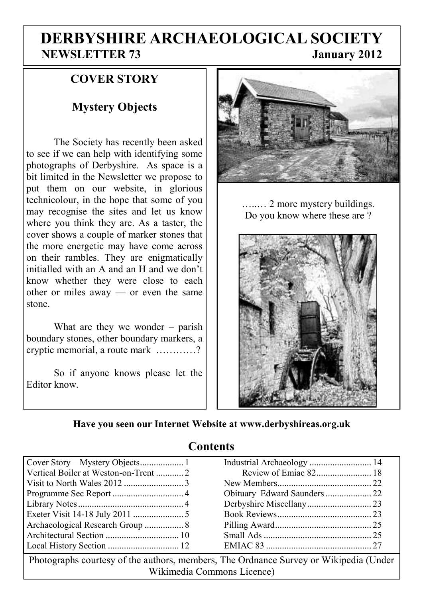# **DERBYSHIRE ARCHAEOLOGICAL SOCIETY NEWSLETTER 73** January 2012

# **COVER STORY**

# **Mystery Objects**

The Society has recently been asked to see if we can help with identifying some photographs of Derbyshire. As space is a bit limited in the Newsletter we propose to put them on our website, in glorious technicolour, in the hope that some of you may recognise the sites and let us know where you think they are. As a taster, the cover shows a couple of marker stones that the more energetic may have come across on their rambles. They are enigmatically initialled with an A and an H and we don't know whether they were close to each other or miles away — or even the same stone.

What are they we wonder – parish boundary stones, other boundary markers, a cryptic memorial, a route mark …………?

So if anyone knows please let the Editor know.



…..… 2 more mystery buildings. Do you know where these are ?



#### **Have you seen our Internet Website at www.derbyshireas.org.uk**

#### **Contents**

| Vertical Boiler at Weston-on-Trent 2                                                                                |  |
|---------------------------------------------------------------------------------------------------------------------|--|
|                                                                                                                     |  |
|                                                                                                                     |  |
|                                                                                                                     |  |
|                                                                                                                     |  |
| Archaeological Research Group  8                                                                                    |  |
|                                                                                                                     |  |
|                                                                                                                     |  |
| Photographs courtesy of the authors, members, The Ordnance Survey or Wikipedia (Under<br>Wikimedia Commons Licence) |  |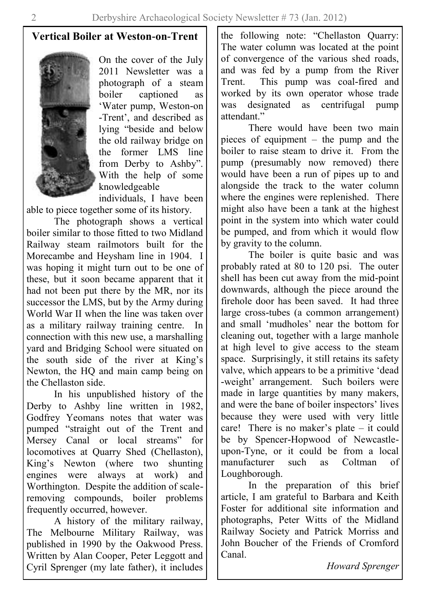#### **Vertical Boiler at Weston-on-Trent**



On the cover of the July 2011 Newsletter was a photograph of a steam boiler captioned as ‗Water pump, Weston-on -Trent', and described as lying "beside and below the old railway bridge on the former LMS line from Derby to Ashby". With the help of some knowledgeable individuals, I have been

able to piece together some of its history.

The photograph shows a vertical boiler similar to those fitted to two Midland Railway steam railmotors built for the Morecambe and Heysham line in 1904. I was hoping it might turn out to be one of these, but it soon became apparent that it had not been put there by the MR, nor its successor the LMS, but by the Army during World War II when the line was taken over as a military railway training centre. In connection with this new use, a marshalling yard and Bridging School were situated on the south side of the river at King's Newton, the HQ and main camp being on the Chellaston side.

In his unpublished history of the Derby to Ashby line written in 1982, Godfrey Yeomans notes that water was pumped "straight out of the Trent and Mersey Canal or local streams" for locomotives at Quarry Shed (Chellaston), King's Newton (where two shunting engines were always at work) and Worthington. Despite the addition of scaleremoving compounds, boiler problems frequently occurred, however.

A history of the military railway, The Melbourne Military Railway, was published in 1990 by the Oakwood Press. Written by Alan Cooper, Peter Leggott and Cyril Sprenger (my late father), it includes

the following note: "Chellaston Quarry: The water column was located at the point of convergence of the various shed roads, and was fed by a pump from the River Trent. This pump was coal-fired and worked by its own operator whose trade was designated as centrifugal pump attendant."

There would have been two main pieces of equipment – the pump and the boiler to raise steam to drive it. From the pump (presumably now removed) there would have been a run of pipes up to and alongside the track to the water column where the engines were replenished. There might also have been a tank at the highest point in the system into which water could be pumped, and from which it would flow by gravity to the column.

The boiler is quite basic and was probably rated at 80 to 120 psi. The outer shell has been cut away from the mid-point downwards, although the piece around the firehole door has been saved. It had three large cross-tubes (a common arrangement) and small ‗mudholes' near the bottom for cleaning out, together with a large manhole at high level to give access to the steam space. Surprisingly, it still retains its safety valve, which appears to be a primitive 'dead -weight' arrangement. Such boilers were made in large quantities by many makers, and were the bane of boiler inspectors' lives because they were used with very little care! There is no maker's plate – it could be by Spencer-Hopwood of Newcastleupon-Tyne, or it could be from a local manufacturer such as Coltman of Loughborough.

In the preparation of this brief article, I am grateful to Barbara and Keith Foster for additional site information and photographs, Peter Witts of the Midland Railway Society and Patrick Morriss and John Boucher of the Friends of Cromford Canal.

*Howard Sprenger*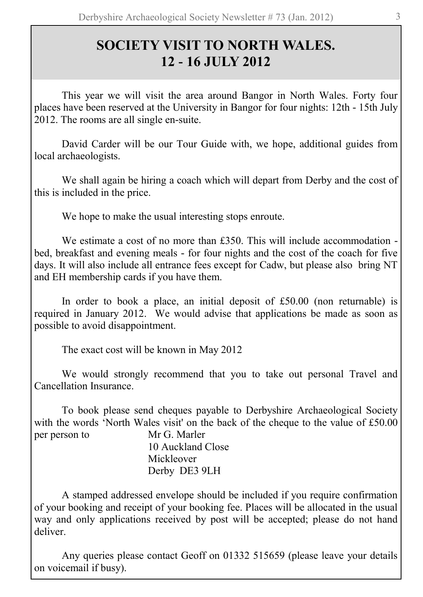# **SOCIETY VISIT TO NORTH WALES. 12 - 16 JULY 2012**

This year we will visit the area around Bangor in North Wales. Forty four places have been reserved at the University in Bangor for four nights: 12th - 15th July 2012. The rooms are all single en-suite.

David Carder will be our Tour Guide with, we hope, additional guides from local archaeologists.

We shall again be hiring a coach which will depart from Derby and the cost of this is included in the price.

We hope to make the usual interesting stops enroute.

We estimate a cost of no more than £350. This will include accommodation bed, breakfast and evening meals - for four nights and the cost of the coach for five days. It will also include all entrance fees except for Cadw, but please also bring NT and EH membership cards if you have them.

In order to book a place, an initial deposit of £50.00 (non returnable) is required in January 2012. We would advise that applications be made as soon as possible to avoid disappointment.

The exact cost will be known in May 2012

We would strongly recommend that you to take out personal Travel and Cancellation Insurance.

To book please send cheques payable to Derbyshire Archaeological Society with the words 'North Wales visit' on the back of the cheque to the value of £50.00 per person to Mr G. Marler

10 Auckland Close Mickleover Derby DE3 9LH

A stamped addressed envelope should be included if you require confirmation of your booking and receipt of your booking fee. Places will be allocated in the usual way and only applications received by post will be accepted; please do not hand deliver.

Any queries please contact Geoff on 01332 515659 (please leave your details on voicemail if busy).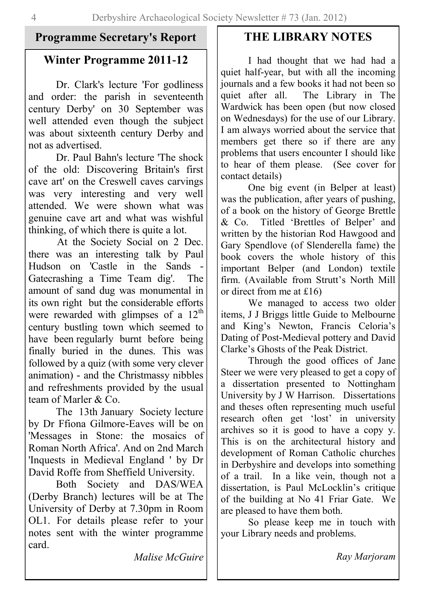## **Programme Secretary's Report**

## **Winter Programme 2011-12**

Dr. Clark's lecture 'For godliness and order: the parish in seventeenth century Derby' on 30 September was well attended even though the subject was about sixteenth century Derby and not as advertised.

Dr. Paul Bahn's lecture 'The shock of the old: Discovering Britain's first cave art' on the Creswell caves carvings was very interesting and very well attended. We were shown what was genuine cave art and what was wishful thinking, of which there is quite a lot.

At the Society Social on 2 Dec. there was an interesting talk by Paul Hudson on 'Castle in the Sands - Gatecrashing a Time Team dig'. The amount of sand dug was monumental in its own right but the considerable efforts were rewarded with glimpses of a  $12<sup>th</sup>$ century bustling town which seemed to have been regularly burnt before being finally buried in the dunes. This was followed by a quiz (with some very clever animation) - and the Christmassy nibbles and refreshments provided by the usual team of Marler & Co.

The 13th January Society lecture by Dr Ffiona Gilmore-Eaves will be on 'Messages in Stone: the mosaics of Roman North Africa'. And on 2nd March 'Inquests in Medieval England ' by Dr David Roffe from Sheffield University.

Both Society and DAS/WEA (Derby Branch) lectures will be at The University of Derby at 7.30pm in Room OL1. For details please refer to your notes sent with the winter programme card.

# **THE LIBRARY NOTES**

I had thought that we had had a quiet half-year, but with all the incoming journals and a few books it had not been so The Library in The Wardwick has been open (but now closed on Wednesdays) for the use of our Library. I am always worried about the service that members get there so if there are any problems that users encounter I should like to hear of them please. (See cover for contact details)

One big event (in Belper at least) was the publication, after years of pushing. of a book on the history of George Brettle & Co. Titled ‗Brettles of Belper' and written by the historian Rod Hawgood and Gary Spendlove (of Slenderella fame) the book covers the whole history of this important Belper (and London) textile firm. (Available from Strutt's North Mill or direct from me at £16)

We managed to access two older items, J J Briggs little Guide to Melbourne and King's Newton, Francis Celoria's Dating of Post-Medieval pottery and David Clarke's Ghosts of the Peak District.

Through the good offices of Jane Steer we were very pleased to get a copy of a dissertation presented to Nottingham University by J W Harrison. Dissertations and theses often representing much useful research often get 'lost' in university archives so it is good to have a copy y. This is on the architectural history and development of Roman Catholic churches in Derbyshire and develops into something of a trail. In a like vein, though not a dissertation, is Paul McLocklin's critique of the building at No 41 Friar Gate. We are pleased to have them both.

So please keep me in touch with your Library needs and problems.

*Malise McGuire*

*Ray Marjoram*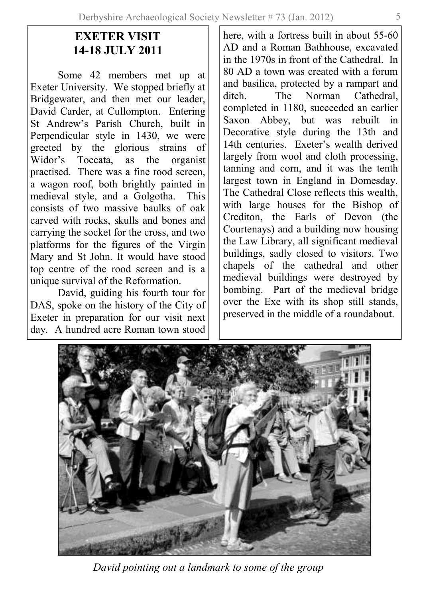# **EXETER VISIT 14-18 JULY 2011**

Some 42 members met up at Exeter University. We stopped briefly at Bridgewater, and then met our leader, David Carder, at Cullompton. Entering St Andrew's Parish Church, built in Perpendicular style in 1430, we were greeted by the glorious strains of Widor's Toccata, as the organist practised. There was a fine rood screen, a wagon roof, both brightly painted in medieval style, and a Golgotha. This consists of two massive baulks of oak carved with rocks, skulls and bones and carrying the socket for the cross, and two platforms for the figures of the Virgin Mary and St John. It would have stood top centre of the rood screen and is a unique survival of the Reformation.

David, guiding his fourth tour for DAS, spoke on the history of the City of Exeter in preparation for our visit next day. A hundred acre Roman town stood

here, with a fortress built in about 55-60 AD and a Roman Bathhouse, excavated in the 1970s in front of the Cathedral. In 80 AD a town was created with a forum and basilica, protected by a rampart and ditch. The Norman Cathedral completed in 1180, succeeded an earlier Saxon Abbey, but was rebuilt in Decorative style during the 13th and 14th centuries. Exeter's wealth derived largely from wool and cloth processing, tanning and corn, and it was the tenth largest town in England in Domesday. The Cathedral Close reflects this wealth, with large houses for the Bishop of Crediton, the Earls of Devon (the Courtenays) and a building now housing the Law Library, all significant medieval buildings, sadly closed to visitors. Two chapels of the cathedral and other medieval buildings were destroyed by bombing. Part of the medieval bridge over the Exe with its shop still stands, preserved in the middle of a roundabout.



*David pointing out a landmark to some of the group*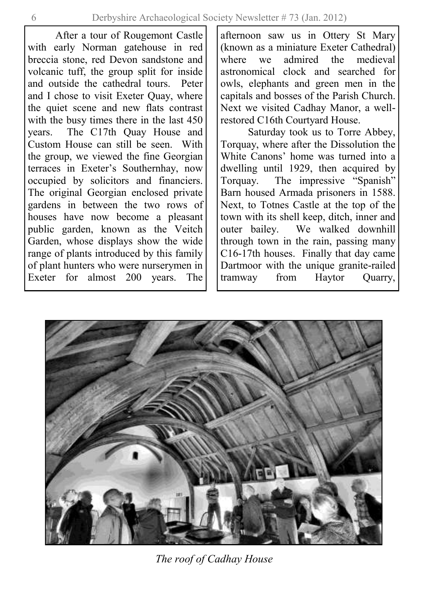After a tour of Rougemont Castle with early Norman gatehouse in red breccia stone, red Devon sandstone and volcanic tuff, the group split for inside and outside the cathedral tours. Peter and I chose to visit Exeter Quay, where the quiet scene and new flats contrast with the busy times there in the last 450 years. The C17th Quay House and Custom House can still be seen. With the group, we viewed the fine Georgian terraces in Exeter's Southernhay, now occupied by solicitors and financiers. The original Georgian enclosed private gardens in between the two rows of houses have now become a pleasant public garden, known as the Veitch Garden, whose displays show the wide range of plants introduced by this family of plant hunters who were nurserymen in Exeter for almost 200 years. The

afternoon saw us in Ottery St Mary (known as a miniature Exeter Cathedral) where we admired the medieval astronomical clock and searched for owls, elephants and green men in the capitals and bosses of the Parish Church. Next we visited Cadhay Manor, a wellrestored C16th Courtyard House.

Saturday took us to Torre Abbey, Torquay, where after the Dissolution the White Canons' home was turned into a dwelling until 1929, then acquired by Torquay. The impressive "Spanish" Barn housed Armada prisoners in 1588. Next, to Totnes Castle at the top of the town with its shell keep, ditch, inner and outer bailey. We walked downhill through town in the rain, passing many C16-17th houses. Finally that day came Dartmoor with the unique granite-railed tramway from Haytor Quarry,



*The roof of Cadhay House*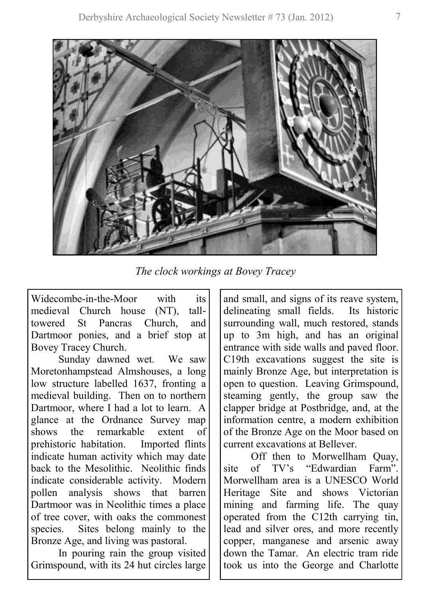

*The clock workings at Bovey Tracey*

Widecombe-in-the-Moor with its medieval Church house (NT), talltowered St Pancras Church, and Dartmoor ponies, and a brief stop at Bovey Tracey Church.

Sunday dawned wet. We saw Moretonhampstead Almshouses, a long low structure labelled 1637, fronting a medieval building. Then on to northern Dartmoor, where I had a lot to learn. A glance at the Ordnance Survey map shows the remarkable extent of prehistoric habitation. Imported flints indicate human activity which may date back to the Mesolithic. Neolithic finds indicate considerable activity. Modern pollen analysis shows that barren Dartmoor was in Neolithic times a place of tree cover, with oaks the commonest species. Sites belong mainly to the Bronze Age, and living was pastoral.

In pouring rain the group visited Grimspound, with its 24 hut circles large

and small, and signs of its reave system, delineating small fields. Its historic surrounding wall, much restored, stands up to 3m high, and has an original entrance with side walls and paved floor. C19th excavations suggest the site is mainly Bronze Age, but interpretation is open to question. Leaving Grimspound, steaming gently, the group saw the clapper bridge at Postbridge, and, at the information centre, a modern exhibition of the Bronze Age on the Moor based on current excavations at Bellever.

Off then to Morwellham Quay, site of TV's "Edwardian Farm" Morwellham area is a UNESCO World Heritage Site and shows Victorian mining and farming life. The quay operated from the C12th carrying tin, lead and silver ores, and more recently copper, manganese and arsenic away down the Tamar. An electric tram ride took us into the George and Charlotte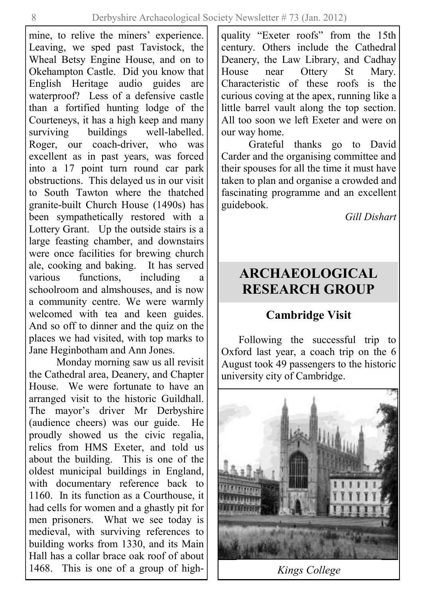mine, to relive the miners' experience. Leaving, we sped past Tavistock, the Wheal Betsy Engine House, and on to Okehampton Castle. Did you know that English Heritage audio guides are waterproof? Less of a defensive castle than a fortified hunting lodge of the Courteneys, it has a high keep and many surviving buildings well-labelled. Roger, our coach-driver, who was excellent as in past years, was forced into a 17 point turn round car park obstructions. This delayed us in our visit to South Tawton where the thatched granite-built Church House (1490s) has been sympathetically restored with a Lottery Grant. Up the outside stairs is a large feasting chamber, and downstairs were once facilities for brewing church ale, cooking and baking. It has served various functions, including a schoolroom and almshouses, and is now a community centre. We were warmly welcomed with tea and keen guides. And so off to dinner and the quiz on the places we had visited, with top marks to Jane Heginbotham and Ann Jones.

Monday morning saw us all revisit the Cathedral area, Deanery, and Chapter House. We were fortunate to have an arranged visit to the historic Guildhall. The mayor's driver Mr Derbyshire (audience cheers) was our guide. He proudly showed us the civic regalia, relics from HMS Exeter, and told us about the building. This is one of the oldest municipal buildings in England, with documentary reference back to 1160. In its function as a Courthouse, it. had cells for women and a ghastly pit for men prisoners. What we see today is medieval, with surviving references to building works from 1330, and its Main Hall has a collar brace oak roof of about 1468. This is one of a group of highquality "Exeter roofs" from the 15th century. Others include the Cathedral Deanery, the Law Library, and Cadhay<br>House near Ottery St Mary. House near Ottery St Characteristic of these roofs is the curious coving at the apex, running like a little barrel vault along the top section. All too soon we left Exeter and were on our way home.

Grateful thanks go to David Carder and the organising committee and their spouses for all the time it must have taken to plan and organise a crowded and fascinating programme and an excellent guidebook.

*Gill Dishart*

# **ARCHAEOLOGICAL RESEARCH GROUP**

## **Cambridge Visit**

Following the successful trip to Oxford last year, a coach trip on the 6 August took 49 passengers to the historic university city of Cambridge.



*Kings College*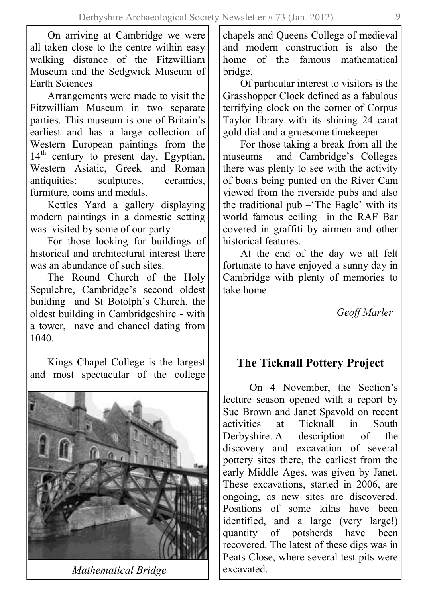On arriving at Cambridge we were all taken close to the centre within easy walking distance of the Fitzwilliam Museum and the Sedgwick Museum of Earth Sciences

Arrangements were made to visit the Fitzwilliam Museum in two separate parties. This museum is one of Britain's earliest and has a large collection of Western European paintings from the 14<sup>th</sup> century to present day, Egyptian, Western Asiatic, Greek and Roman antiquities; sculptures, ceramics, furniture, coins and medals.

Kettles Yard a gallery displaying modern paintings in a domestic setting was visited by some of our party

For those looking for buildings of historical and architectural interest there was an abundance of such sites.

The Round Church of the Holy Sepulchre, Cambridge's second oldest building and St Botolph's Church, the oldest building in Cambridgeshire - with a tower, nave and chancel dating from 1040.

Kings Chapel College is the largest and most spectacular of the college



*Mathematical Bridge* excavated.

chapels and Queens College of medieval and modern construction is also the home of the famous mathematical bridge.

Of particular interest to visitors is the Grasshopper Clock defined as a fabulous terrifying clock on the corner of Corpus Taylor library with its shining 24 carat gold dial and a gruesome timekeeper.

For those taking a break from all the museums and Cambridge's Colleges there was plenty to see with the activity of boats being punted on the River Cam viewed from the riverside pubs and also the traditional pub  $-$  The Eagle' with its world famous ceiling in the RAF Bar covered in graffiti by airmen and other historical features.

At the end of the day we all felt fortunate to have enjoyed a sunny day in Cambridge with plenty of memories to take home.

*Geoff Marler*

# **The Ticknall Pottery Project**

On 4 November, the Section's lecture season opened with a report by Sue Brown and Janet Spavold on recent activities at Ticknall in South Derbyshire. A description of the discovery and excavation of several pottery sites there, the earliest from the early Middle Ages, was given by Janet. These excavations, started in 2006, are ongoing, as new sites are discovered. Positions of some kilns have been identified, and a large (very large!) quantity of potsherds have been recovered. The latest of these digs was in Peats Close, where several test pits were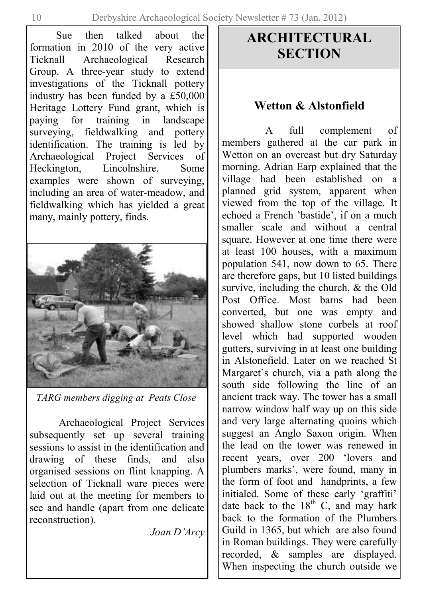Sue then talked about the formation in 2010 of the very active Ticknall Archaeological Research Group. A three-year study to extend investigations of the Ticknall pottery industry has been funded by a £50,000 Heritage Lottery Fund grant, which is<br>paving for training in landscape paying for training surveying, fieldwalking and pottery identification. The training is led by Archaeological Project Services of Heckington, Lincolnshire. Some examples were shown of surveying, including an area of water-meadow, and fieldwalking which has yielded a great many, mainly pottery, finds.



*TARG members digging at Peats Close*

Archaeological Project Services subsequently set up several training sessions to assist in the identification and drawing of these finds, and also organised sessions on flint knapping. A selection of Ticknall ware pieces were laid out at the meeting for members to see and handle (apart from one delicate reconstruction).

*Joan D'Arcy*

# **ARCHITECTURAL SECTION**

## **Wetton & Alstonfield**

 A full complement of members gathered at the car park in Wetton on an overcast but dry Saturday morning. Adrian Earp explained that the village had been established on a planned grid system, apparent when viewed from the top of the village. It echoed a French 'bastide', if on a much smaller scale and without a central square. However at one time there were at least 100 houses, with a maximum population 541, now down to 65. There are therefore gaps, but 10 listed buildings survive, including the church, & the Old Post Office. Most barns had been converted, but one was empty and showed shallow stone corbels at roof level which had supported wooden gutters, surviving in at least one building in Alstonefield. Later on we reached St Margaret's church, via a path along the south side following the line of an ancient track way. The tower has a small narrow window half way up on this side and very large alternating quoins which suggest an Anglo Saxon origin. When the lead on the tower was renewed in recent years, over 200 'lovers and plumbers marks', were found, many in the form of foot and handprints, a few initialed. Some of these early 'graffiti' date back to the  $18<sup>th</sup>$  C, and may hark back to the formation of the Plumbers Guild in 1365, but which are also found in Roman buildings. They were carefully recorded, & samples are displayed. When inspecting the church outside we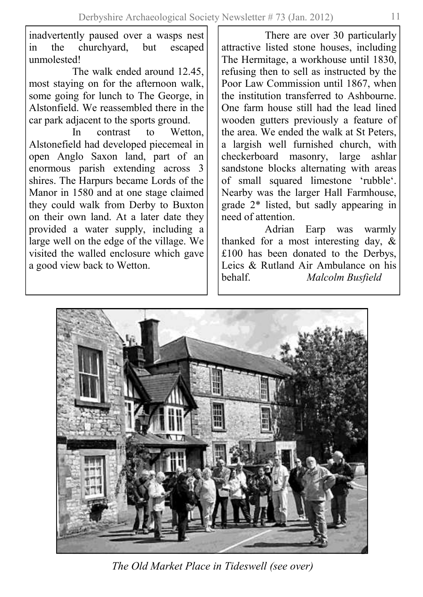inadvertently paused over a wasps nest in the churchyard, but escaped unmolested!

The walk ended around 12.45 most staying on for the afternoon walk, some going for lunch to The George, in Alstonfield. We reassembled there in the car park adjacent to the sports ground.

In contrast to Wetton Alstonefield had developed piecemeal in open Anglo Saxon land, part of an enormous parish extending across 3 shires. The Harpurs became Lords of the Manor in 1580 and at one stage claimed they could walk from Derby to Buxton on their own land. At a later date they provided a water supply, including a large well on the edge of the village. We visited the walled enclosure which gave a good view back to Wetton.

 There are over 30 particularly attractive listed stone houses, including The Hermitage, a workhouse until 1830, refusing then to sell as instructed by the Poor Law Commission until 1867, when the institution transferred to Ashbourne. One farm house still had the lead lined wooden gutters previously a feature of the area. We ended the walk at St Peters a largish well furnished church, with checkerboard masonry, large ashlar sandstone blocks alternating with areas of small squared limestone 'rubble'. Nearby was the larger Hall Farmhouse, grade 2\* listed, but sadly appearing in need of attention.

 Adrian Earp was warmly thanked for a most interesting day, & £100 has been donated to the Derbys, Leics & Rutland Air Ambulance on his behalf. *Malcolm Busfield* 



*The Old Market Place in Tideswell (see over)*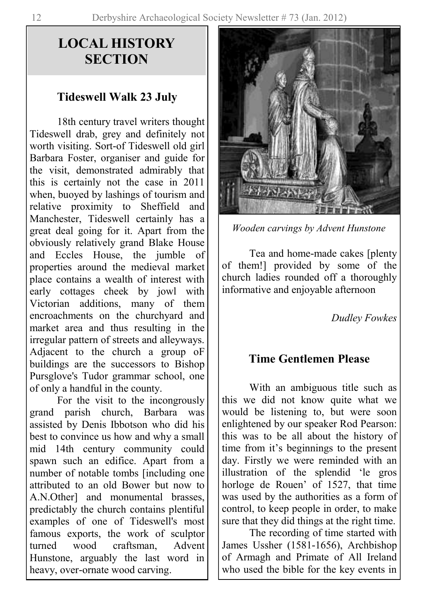# **LOCAL HISTORY SECTION**

#### **Tideswell Walk 23 July**

18th century travel writers thought Tideswell drab, grey and definitely not worth visiting. Sort-of Tideswell old girl Barbara Foster, organiser and guide for the visit, demonstrated admirably that this is certainly not the case in 2011 when, buoyed by lashings of tourism and relative proximity to Sheffield and Manchester, Tideswell certainly has a great deal going for it. Apart from the obviously relatively grand Blake House and Eccles House, the jumble of properties around the medieval market place contains a wealth of interest with early cottages cheek by jowl with Victorian additions, many of them encroachments on the churchyard and market area and thus resulting in the irregular pattern of streets and alleyways. Adjacent to the church a group oF buildings are the successors to Bishop Pursglove's Tudor grammar school, one of only a handful in the county.

For the visit to the incongrously grand parish church, Barbara was assisted by Denis Ibbotson who did his best to convince us how and why a small mid 14th century community could spawn such an edifice. Apart from a number of notable tombs [including one attributed to an old Bower but now to A.N.Other] and monumental brasses, predictably the church contains plentiful examples of one of Tideswell's most famous exports, the work of sculptor<br>turned wood craftsman. Advent wood craftsman, Advent Hunstone, arguably the last word in heavy, over-ornate wood carving.



*Wooden carvings by Advent Hunstone*

Tea and home-made cakes [plenty of them!] provided by some of the church ladies rounded off a thoroughly informative and enjoyable afternoon

*Dudley Fowkes*

## **Time Gentlemen Please**

With an ambiguous title such as this we did not know quite what we would be listening to, but were soon enlightened by our speaker Rod Pearson: this was to be all about the history of time from it's beginnings to the present day. Firstly we were reminded with an illustration of the splendid 'le gros horloge de Rouen' of 1527, that time was used by the authorities as a form of control, to keep people in order, to make sure that they did things at the right time.

The recording of time started with James Ussher (1581-1656), Archbishop of Armagh and Primate of All Ireland who used the bible for the key events in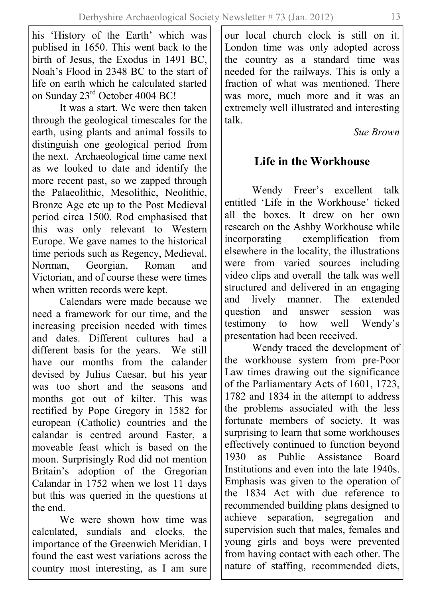his 'History of the Earth' which was publised in 1650. This went back to the birth of Jesus, the Exodus in 1491 BC, Noah's Flood in 2348 BC to the start of life on earth which he calculated started on Sunday 23rd October 4004 BC!

It was a start. We were then taken through the geological timescales for the earth, using plants and animal fossils to distinguish one geological period from the next. Archaeological time came next as we looked to date and identify the more recent past, so we zapped through the Palaeolithic, Mesolithic, Neolithic, Bronze Age etc up to the Post Medieval period circa 1500. Rod emphasised that this was only relevant to Western Europe. We gave names to the historical time periods such as Regency, Medieval, Norman, Georgian, Roman and Victorian, and of course these were times when written records were kept.

Calendars were made because we need a framework for our time, and the increasing precision needed with times and dates. Different cultures had a different basis for the years. We still have our months from the calander devised by Julius Caesar, but his year was too short and the seasons and months got out of kilter. This was rectified by Pope Gregory in 1582 for european (Catholic) countries and the calandar is centred around Easter, a moveable feast which is based on the moon. Surprisingly Rod did not mention Britain's adoption of the Gregorian Calandar in 1752 when we lost 11 days but this was queried in the questions at the end.

We were shown how time was calculated, sundials and clocks, the importance of the Greenwich Meridian. I found the east west variations across the country most interesting, as I am sure

our local church clock is still on it. London time was only adopted across the country as a standard time was needed for the railways. This is only a fraction of what was mentioned. There was more, much more and it was an extremely well illustrated and interesting talk.

*Sue Brown*

# **Life in the Workhouse**

Wendy Freer's excellent talk entitled 'Life in the Workhouse' ticked all the boxes. It drew on her own research on the Ashby Workhouse while incorporating exemplification from elsewhere in the locality, the illustrations were from varied sources including video clips and overall the talk was well structured and delivered in an engaging and lively manner. The extended question and answer session was testimony to how well Wendy's presentation had been received.

Wendy traced the development of the workhouse system from pre-Poor Law times drawing out the significance of the Parliamentary Acts of 1601, 1723, 1782 and 1834 in the attempt to address the problems associated with the less fortunate members of society. It was surprising to learn that some workhouses effectively continued to function beyond 1930 as Public Assistance Board Institutions and even into the late 1940s. Emphasis was given to the operation of the 1834 Act with due reference to recommended building plans designed to achieve separation, segregation and supervision such that males, females and young girls and boys were prevented from having contact with each other. The nature of staffing, recommended diets,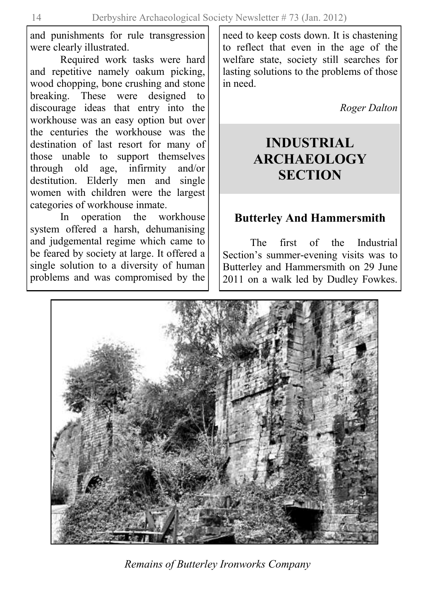and punishments for rule transgression were clearly illustrated.

Required work tasks were hard and repetitive namely oakum picking, wood chopping, bone crushing and stone breaking. These were designed to discourage ideas that entry into the workhouse was an easy option but over the centuries the workhouse was the destination of last resort for many of those unable to support themselves through old age, infirmity and/or destitution. Elderly men and single women with children were the largest categories of workhouse inmate.

In operation the workhouse system offered a harsh, dehumanising and judgemental regime which came to be feared by society at large. It offered a single solution to a diversity of human problems and was compromised by the

need to keep costs down. It is chastening to reflect that even in the age of the welfare state, society still searches for lasting solutions to the problems of those in need.

 *Roger Dalton*

# **INDUSTRIAL ARCHAEOLOGY SECTION**

## **Butterley And Hammersmith**

The first of the Industrial Section's summer-evening visits was to Butterley and Hammersmith on 29 June 2011 on a walk led by Dudley Fowkes.



*Remains of Butterley Ironworks Company*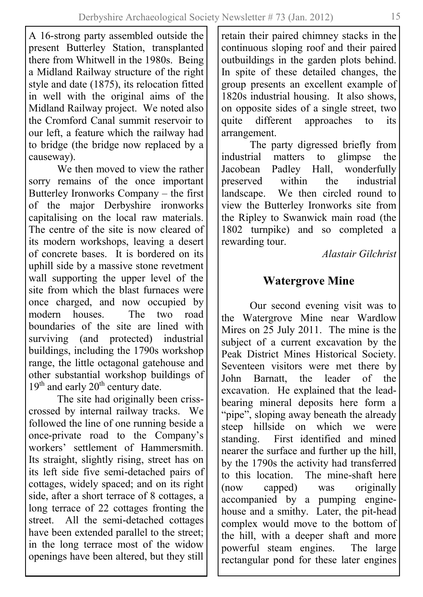A 16-strong party assembled outside the present Butterley Station, transplanted there from Whitwell in the 1980s. Being a Midland Railway structure of the right style and date (1875), its relocation fitted in well with the original aims of the Midland Railway project. We noted also the Cromford Canal summit reservoir to our left, a feature which the railway had to bridge (the bridge now replaced by a causeway).

We then moved to view the rather sorry remains of the once important Butterley Ironworks Company – the first of the major Derbyshire ironworks capitalising on the local raw materials. The centre of the site is now cleared of its modern workshops, leaving a desert of concrete bases. It is bordered on its uphill side by a massive stone revetment wall supporting the upper level of the site from which the blast furnaces were once charged, and now occupied by modern houses. The two road boundaries of the site are lined with surviving (and protected) industrial buildings, including the 1790s workshop range, the little octagonal gatehouse and other substantial workshop buildings of  $19<sup>th</sup>$  and early  $20<sup>th</sup>$  century date.

The site had originally been crisscrossed by internal railway tracks. We followed the line of one running beside a once-private road to the Company's workers' settlement of Hammersmith. Its straight, slightly rising, street has on its left side five semi-detached pairs of cottages, widely spaced; and on its right side, after a short terrace of 8 cottages, a long terrace of 22 cottages fronting the street. All the semi-detached cottages have been extended parallel to the street; in the long terrace most of the widow openings have been altered, but they still

retain their paired chimney stacks in the continuous sloping roof and their paired outbuildings in the garden plots behind. In spite of these detailed changes, the group presents an excellent example of 1820s industrial housing. It also shows, on opposite sides of a single street, two<br>quite different approaches to its quite different approaches to its arrangement.

The party digressed briefly from<br>industrial matters to glimnse the industrial matters to glimpse the<br>Iacobean Padley Hall wonderfully Padley Hall, wonderfully<br>within the industrial preserved within the landscape. We then circled round to view the Butterley Ironworks site from the Ripley to Swanwick main road (the 1802 turnpike) and so completed a rewarding tour.

*Alastair Gilchrist*

# **Watergrove Mine**

Our second evening visit was to the Watergrove Mine near Wardlow Mires on 25 July 2011. The mine is the subject of a current excavation by the Peak District Mines Historical Society. Seventeen visitors were met there by John Barnatt, the leader of the excavation. He explained that the leadbearing mineral deposits here form a "pipe", sloping away beneath the already steep hillside on which we were standing. First identified and mined nearer the surface and further up the hill, by the 1790s the activity had transferred<br>to this location. The mine-shaft here The mine-shaft here (now capped) was originally accompanied by a pumping enginehouse and a smithy. Later, the pit-head complex would move to the bottom of the hill, with a deeper shaft and more<br>nowerful steam engines. The large powerful steam engines. rectangular pond for these later engines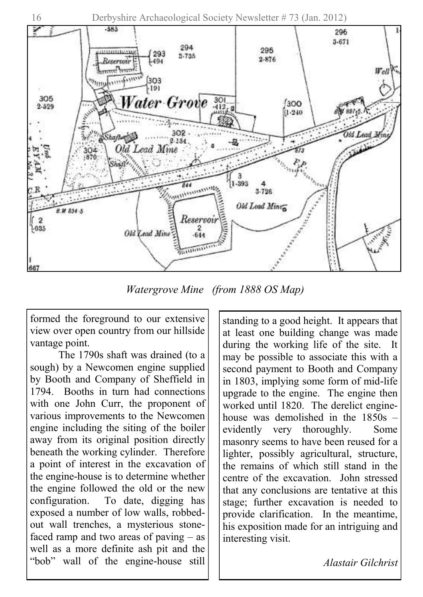

*Watergrove Mine (from 1888 OS Map)*

formed the foreground to our extensive view over open country from our hillside vantage point.

The 1790s shaft was drained (to a sough) by a Newcomen engine supplied by Booth and Company of Sheffield in 1794. Booths in turn had connections with one John Curr, the proponent of various improvements to the Newcomen engine including the siting of the boiler away from its original position directly beneath the working cylinder. Therefore a point of interest in the excavation of the engine-house is to determine whether the engine followed the old or the new configuration. To date, digging has exposed a number of low walls, robbedout wall trenches, a mysterious stonefaced ramp and two areas of paving – as well as a more definite ash pit and the "bob" wall of the engine-house still

standing to a good height. It appears that at least one building change was made during the working life of the site. It may be possible to associate this with a second payment to Booth and Company in 1803, implying some form of mid-life upgrade to the engine. The engine then worked until 1820. The derelict enginehouse was demolished in the 1850s – evidently very thoroughly. Some masonry seems to have been reused for a lighter, possibly agricultural, structure, the remains of which still stand in the centre of the excavation. John stressed that any conclusions are tentative at this stage; further excavation is needed to provide clarification. In the meantime, his exposition made for an intriguing and interesting visit.

*Alastair Gilchrist*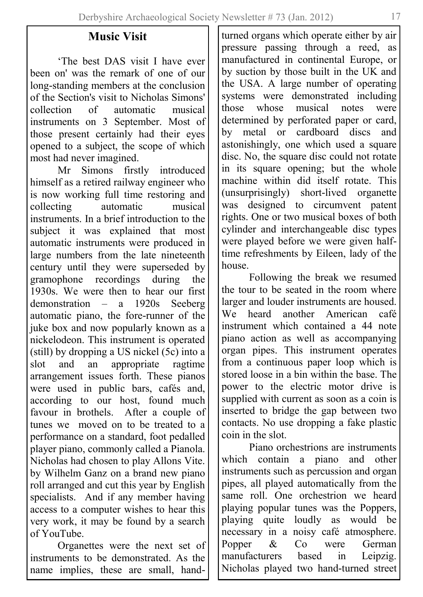# **Music Visit**

The best DAS visit I have ever been on' was the remark of one of our long-standing members at the conclusion of the Section's visit to Nicholas Simons' collection of automatic musical instruments on 3 September. Most of those present certainly had their eyes opened to a subject, the scope of which most had never imagined.

Mr Simons firstly introduced himself as a retired railway engineer who is now working full time restoring and<br>collecting automatic musical collecting automatic instruments. In a brief introduction to the subject it was explained that most automatic instruments were produced in large numbers from the late nineteenth century until they were superseded by<br>gramophone recordings during the gramophone recordings during 1930s. We were then to hear our first demonstration – a 1920s Seeberg automatic piano, the fore-runner of the juke box and now popularly known as a nickelodeon. This instrument is operated (still) by dropping a US nickel (5c) into a slot and an appropriate ragtime arrangement issues forth. These pianos were used in public bars, cafés and, according to our host, found much favour in brothels. After a couple of tunes we moved on to be treated to a performance on a standard, foot pedalled player piano, commonly called a Pianola. Nicholas had chosen to play Allons Vite. by Wilhelm Ganz on a brand new piano roll arranged and cut this year by English specialists. And if any member having access to a computer wishes to hear this very work, it may be found by a search of YouTube.

Organettes were the next set of instruments to be demonstrated. As the name implies, these are small, handturned organs which operate either by air pressure passing through a reed, as manufactured in continental Europe, or by suction by those built in the UK and the USA. A large number of operating systems were demonstrated including<br>those whose musical notes were those whose musical notes were determined by perforated paper or card, by metal or cardboard discs and astonishingly, one which used a square disc. No, the square disc could not rotate in its square opening; but the whole machine within did itself rotate. This (unsurprisingly) short-lived organette was designed to circumvent patent rights. One or two musical boxes of both cylinder and interchangeable disc types were played before we were given halftime refreshments by Eileen, lady of the house.

Following the break we resumed the tour to be seated in the room where larger and louder instruments are housed.<br>We heard another American café. We heard another American café instrument which contained a 44 note piano action as well as accompanying organ pipes. This instrument operates from a continuous paper loop which is stored loose in a bin within the base. The power to the electric motor drive is supplied with current as soon as a coin is inserted to bridge the gap between two contacts. No use dropping a fake plastic coin in the slot.

Piano orchestrions are instruments which contain a piano and other instruments such as percussion and organ pipes, all played automatically from the same roll. One orchestrion we heard playing popular tunes was the Poppers, playing quite loudly as would be necessary in a noisy café atmosphere. Popper & Co were German manufacturers based in Leipzig. Nicholas played two hand-turned street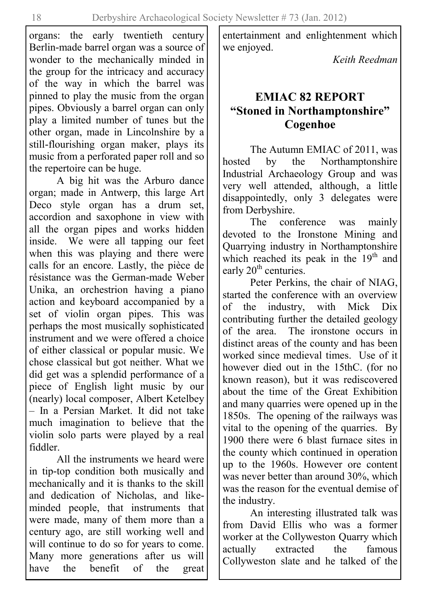organs: the early twentieth century Berlin-made barrel organ was a source of wonder to the mechanically minded in the group for the intricacy and accuracy of the way in which the barrel was pinned to play the music from the organ pipes. Obviously a barrel organ can only play a limited number of tunes but the other organ, made in Lincolnshire by a still-flourishing organ maker, plays its music from a perforated paper roll and so the repertoire can be huge.

A big hit was the Arburo dance organ; made in Antwerp, this large Art Deco style organ has a drum set, accordion and saxophone in view with all the organ pipes and works hidden inside. We were all tapping our feet when this was playing and there were calls for an encore. Lastly, the pièce de résistance was the German-made Weber Unika, an orchestrion having a piano action and keyboard accompanied by a set of violin organ pipes. This was perhaps the most musically sophisticated instrument and we were offered a choice of either classical or popular music. We chose classical but got neither. What we did get was a splendid performance of a piece of English light music by our (nearly) local composer, Albert Ketelbey – In a Persian Market. It did not take much imagination to believe that the violin solo parts were played by a real fiddler.

All the instruments we heard were in tip-top condition both musically and mechanically and it is thanks to the skill and dedication of Nicholas, and likeminded people, that instruments that were made, many of them more than a century ago, are still working well and will continue to do so for years to come. Many more generations after us will have the benefit of the great entertainment and enlightenment which we enjoyed.

*Keith Reedman*

# **EMIAC 82 REPORT ―Stoned in Northamptonshire‖ Cogenhoe**

The Autumn EMIAC of 2011, was hosted by the Northamptonshire Industrial Archaeology Group and was very well attended, although, a little disappointedly, only 3 delegates were from Derbyshire.

The conference was mainly devoted to the Ironstone Mining and Quarrying industry in Northamptonshire which reached its peak in the  $19<sup>th</sup>$  and early  $20<sup>th</sup>$  centuries.

Peter Perkins, the chair of NIAG, started the conference with an overview of the industry, with Mick Dix contributing further the detailed geology of the area. The ironstone occurs in distinct areas of the county and has been worked since medieval times. Use of it however died out in the 15thC. (for no known reason), but it was rediscovered about the time of the Great Exhibition and many quarries were opened up in the 1850s. The opening of the railways was vital to the opening of the quarries. By 1900 there were 6 blast furnace sites in the county which continued in operation up to the 1960s. However ore content was never better than around 30%, which was the reason for the eventual demise of the industry.

An interesting illustrated talk was from David Ellis who was a former worker at the Collyweston Quarry which actually extracted the famous Collyweston slate and he talked of the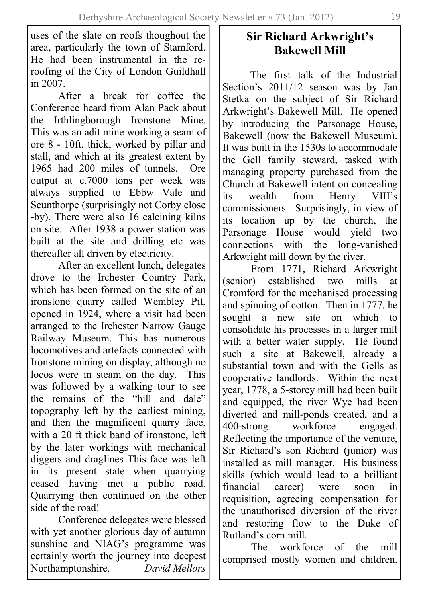uses of the slate on roofs thoughout the area, particularly the town of Stamford. He had been instrumental in the reroofing of the City of London Guildhall in 2007.

After a break for coffee the Conference heard from Alan Pack about the Irthlingborough Ironstone Mine. This was an adit mine working a seam of ore 8 - 10ft. thick, worked by pillar and stall, and which at its greatest extent by 1965 had 200 miles of tunnels. Ore output at c.7000 tons per week was always supplied to Ebbw Vale and Scunthorpe (surprisingly not Corby close -by). There were also 16 calcining kilns on site. After 1938 a power station was built at the site and drilling etc was thereafter all driven by electricity.

After an excellent lunch, delegates drove to the Irchester Country Park, which has been formed on the site of an ironstone quarry called Wembley Pit, opened in 1924, where a visit had been arranged to the Irchester Narrow Gauge Railway Museum. This has numerous locomotives and artefacts connected with Ironstone mining on display, although no locos were in steam on the day. This was followed by a walking tour to see the remains of the "hill and dale" topography left by the earliest mining, and then the magnificent quarry face. with a 20 ft thick band of ironstone, left by the later workings with mechanical diggers and draglines This face was left in its present state when quarrying ceased having met a public road. Quarrying then continued on the other side of the road!

Conference delegates were blessed with yet another glorious day of autumn sunshine and NIAG's programme was certainly worth the journey into deepest<br>Northamptonshire David Mellors Northamptonshire. *David Mellors*

# **Sir Richard Arkwright's Bakewell Mill**

The first talk of the Industrial Section's 2011/12 season was by Jan Stetka on the subject of Sir Richard Arkwright's Bakewell Mill. He opened by introducing the Parsonage House, Bakewell (now the Bakewell Museum). It was built in the 1530s to accommodate the Gell family steward, tasked with managing property purchased from the Church at Bakewell intent on concealing its wealth from Henry VIII's commissioners. Surprisingly, in view of its location up by the church, the Parsonage House would yield two connections with the long-vanished Arkwright mill down by the river.

From 1771, Richard Arkwright (senior) established two mills at Cromford for the mechanised processing and spinning of cotton. Then in 1777, he sought a new site on which to consolidate his processes in a larger mill with a better water supply. He found such a site at Bakewell, already a substantial town and with the Gells as cooperative landlords. Within the next year, 1778, a 5-storey mill had been built and equipped, the river Wye had been diverted and mill-ponds created, and a<br>400-strong workforce engaged.  $400$ -strong Reflecting the importance of the venture, Sir Richard's son Richard (junior) was installed as mill manager. His business skills (which would lead to a brilliant financial career) were soon in requisition, agreeing compensation for the unauthorised diversion of the river and restoring flow to the Duke of Rutland's corn mill.

The workforce of the mill comprised mostly women and children.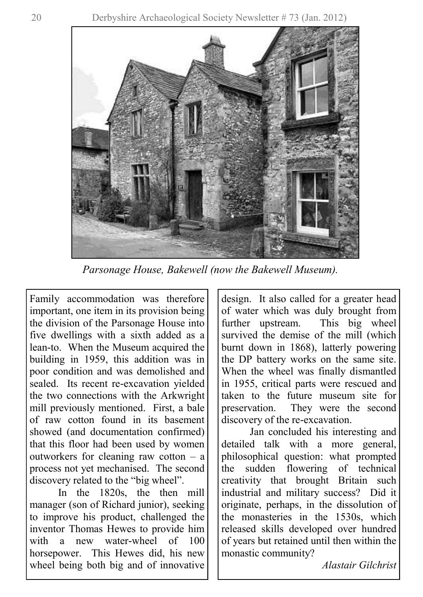

*Parsonage House, Bakewell (now the Bakewell Museum).* 

Family accommodation was therefore important, one item in its provision being the division of the Parsonage House into five dwellings with a sixth added as a lean-to. When the Museum acquired the building in 1959, this addition was in poor condition and was demolished and sealed. Its recent re-excavation yielded the two connections with the Arkwright mill previously mentioned. First, a bale of raw cotton found in its basement showed (and documentation confirmed) that this floor had been used by women outworkers for cleaning raw cotton – a process not yet mechanised. The second discovery related to the "big wheel".

In the 1820s, the then mill manager (son of Richard junior), seeking to improve his product, challenged the inventor Thomas Hewes to provide him with a new water-wheel of 100 horsepower. This Hewes did, his new wheel being both big and of innovative design. It also called for a greater head of water which was duly brought from further upstream. This big wheel survived the demise of the mill (which burnt down in 1868), latterly powering the DP battery works on the same site. When the wheel was finally dismantled in 1955, critical parts were rescued and taken to the future museum site for preservation. They were the second discovery of the re-excavation.

Jan concluded his interesting and detailed talk with a more general, philosophical question: what prompted the sudden flowering of technical creativity that brought Britain such industrial and military success? Did it originate, perhaps, in the dissolution of the monasteries in the 1530s, which released skills developed over hundred of years but retained until then within the monastic community?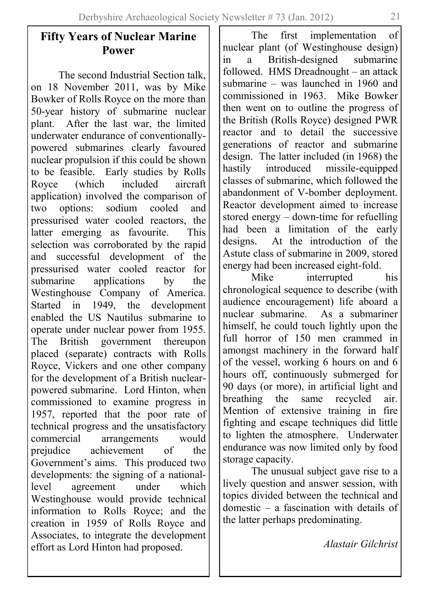# **Fifty Years of Nuclear Marine Power**

The second Industrial Section talk, on 18 November 2011, was by Mike Bowker of Rolls Royce on the more than 50-year history of submarine nuclear plant. After the last war, the limited underwater endurance of conventionallypowered submarines clearly favoured nuclear propulsion if this could be shown to be feasible. Early studies by Rolls Royce (which included aircraft application) involved the comparison of two options: sodium cooled and pressurised water cooled reactors, the latter emerging as favourite. This selection was corroborated by the rapid and successful development of the pressurised water cooled reactor for<br>submarine applications by the applications by the Westinghouse Company of America.<br>Started in 1949, the development 1949, the development enabled the US Nautilus submarine to operate under nuclear power from 1955. The British government thereupon placed (separate) contracts with Rolls Royce, Vickers and one other company for the development of a British nuclearpowered submarine. Lord Hinton, when commissioned to examine progress in 1957, reported that the poor rate of technical progress and the unsatisfactory<br>commercial arrangements would arrangements would prejudice achievement of the Government's aims. This produced two developments: the signing of a nationallevel agreement under which Westinghouse would provide technical information to Rolls Royce; and the creation in 1959 of Rolls Royce and Associates, to integrate the development effort as Lord Hinton had proposed.

The first implementation of nuclear plant (of Westinghouse design)<br>in a British-designed submarine  $in$   $a$  British-designed followed. HMS Dreadnought – an attack submarine – was launched in 1960 and commissioned in 1963. Mike Bowker then went on to outline the progress of the British (Rolls Royce) designed PWR reactor and to detail the successive generations of reactor and submarine design. The latter included (in 1968) the<br>hastily introduced missile-equipped missile-equipped classes of submarine, which followed the abandonment of V-bomber deployment. Reactor development aimed to increase stored energy – down-time for refuelling had been a limitation of the early designs. At the introduction of the Astute class of submarine in 2009, stored energy had been increased eight-fold.

Mike interrupted his chronological sequence to describe (with audience encouragement) life aboard a<br>nuclear submarine. As a submariner nuclear submarine. himself, he could touch lightly upon the full horror of 150 men crammed in amongst machinery in the forward half of the vessel, working 6 hours on and 6 hours off, continuously submerged for 90 days (or more), in artificial light and breathing the same recycled air. Mention of extensive training in fire fighting and escape techniques did little to lighten the atmosphere. Underwater endurance was now limited only by food storage capacity.

The unusual subject gave rise to a lively question and answer session, with topics divided between the technical and domestic – a fascination with details of the latter perhaps predominating.

*Alastair Gilchrist*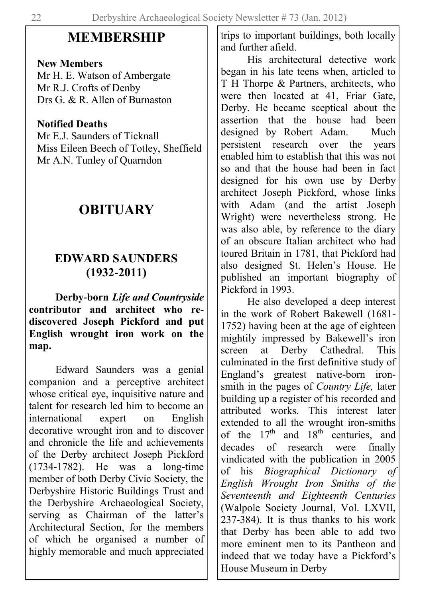# **MEMBERSHIP**

#### **New Members** Mr H. E. Watson of Ambergate Mr R.J. Crofts of Denby Drs G. & R. Allen of Burnaston

#### **Notified Deaths**

Mr E.J. Saunders of Ticknall Miss Eileen Beech of Totley, Sheffield Mr A.N. Tunley of Quarndon

# **OBITUARY**

## **EDWARD SAUNDERS (1932-2011)**

**Derby-born** *Life and Countryside* **contributor and architect who rediscovered Joseph Pickford and put English wrought iron work on the map.**

Edward Saunders was a genial companion and a perceptive architect whose critical eye, inquisitive nature and talent for research led him to become an international expert on English decorative wrought iron and to discover and chronicle the life and achievements of the Derby architect Joseph Pickford (1734-1782). He was a long-time member of both Derby Civic Society, the Derbyshire Historic Buildings Trust and the Derbyshire Archaeological Society, serving as Chairman of the latter's Architectural Section, for the members of which he organised a number of highly memorable and much appreciated

trips to important buildings, both locally and further afield.

His architectural detective work began in his late teens when, articled to T H Thorpe & Partners, architects, who were then located at 41, Friar Gate, Derby. He became sceptical about the assertion that the house had been designed by Robert Adam. Much persistent research over the years enabled him to establish that this was not so and that the house had been in fact designed for his own use by Derby architect Joseph Pickford, whose links with Adam (and the artist Joseph Wright) were nevertheless strong. He was also able, by reference to the diary of an obscure Italian architect who had toured Britain in 1781, that Pickford had also designed St. Helen's House. He published an important biography of Pickford in 1993.

He also developed a deep interest in the work of Robert Bakewell (1681- 1752) having been at the age of eighteen mightily impressed by Bakewell's iron screen at Derby Cathedral. This culminated in the first definitive study of England's greatest native-born ironsmith in the pages of *Country Life,* later building up a register of his recorded and attributed works. This interest later extended to all the wrought iron-smiths of the  $17<sup>th</sup>$  and  $18<sup>th</sup>$  centuries, and decades of research were finally vindicated with the publication in 2005 of his *Biographical Dictionary of English Wrought Iron Smiths of the Seventeenth and Eighteenth Centuries*  (Walpole Society Journal, Vol. LXVII, 237-384). It is thus thanks to his work that Derby has been able to add two more eminent men to its Pantheon and indeed that we today have a Pickford's House Museum in Derby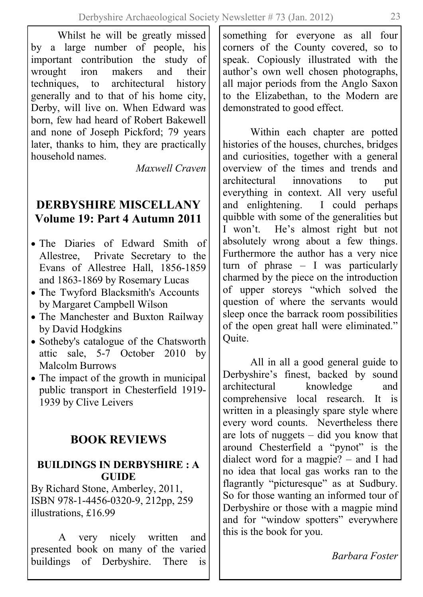Whilst he will be greatly missed by a large number of people, his important contribution the study of wrought iron makers and their techniques, to architectural history generally and to that of his home city, Derby, will live on. When Edward was born, few had heard of Robert Bakewell and none of Joseph Pickford; 79 years later, thanks to him, they are practically household names.

*Maxwell Craven*

## **DERBYSHIRE MISCELLANY Volume 19: Part 4 Autumn 2011**

- The Diaries of Edward Smith of Allestree, Private Secretary to the Evans of Allestree Hall, 1856-1859 and 1863-1869 by Rosemary Lucas
- The Twyford Blacksmith's Accounts by Margaret Campbell Wilson
- The Manchester and Buxton Railway by David Hodgkins
- Sotheby's catalogue of the Chatsworth attic sale, 5-7 October 2010 by Malcolm Burrows
- The impact of the growth in municipal public transport in Chesterfield 1919- 1939 by Clive Leivers

## **BOOK REVIEWS**

#### **BUILDINGS IN DERBYSHIRE : A GUIDE**

By Richard Stone, Amberley, 2011, ISBN 978-1-4456-0320-9, 212pp, 259 illustrations, £16.99

very nicely written and presented book on many of the varied buildings of Derbyshire. There is something for everyone as all four corners of the County covered, so to speak. Copiously illustrated with the author's own well chosen photographs, all major periods from the Anglo Saxon to the Elizabethan, to the Modern are demonstrated to good effect.

Within each chapter are potted histories of the houses, churches, bridges and curiosities, together with a general overview of the times and trends and architectural innovations to put everything in context. All very useful and enlightening. I could perhaps quibble with some of the generalities but I won't. He's almost right but not absolutely wrong about a few things. Furthermore the author has a very nice turn of phrase – I was particularly charmed by the piece on the introduction of upper storeys "which solved the question of where the servants would sleep once the barrack room possibilities of the open great hall were eliminated." **Ouite** 

All in all a good general guide to Derbyshire's finest, backed by sound<br>architectural knowledge and architectural knowledge and comprehensive local research. It is written in a pleasingly spare style where every word counts. Nevertheless there are lots of nuggets – did you know that around Chesterfield a "pynot" is the dialect word for a magpie? – and I had no idea that local gas works ran to the flagrantly "picturesque" as at Sudbury. So for those wanting an informed tour of Derbyshire or those with a magpie mind and for "window spotters" everywhere this is the book for you.

*Barbara Foster*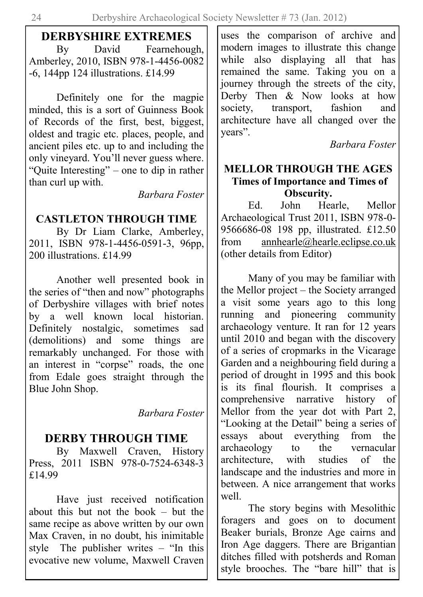#### **DERBYSHIRE EXTREMES** By David Fearnehough, Amberley, 2010, ISBN 978-1-4456-0082 -6, 144pp 124 illustrations. £14.99

Definitely one for the magpie minded, this is a sort of Guinness Book of Records of the first, best, biggest, oldest and tragic etc. places, people, and ancient piles etc. up to and including the only vineyard. You'll never guess where. "Ouite Interesting" – one to dip in rather than curl up with.

*Barbara Foster*

#### **CASTLETON THROUGH TIME**

By Dr Liam Clarke, Amberley, 2011, ISBN 978-1-4456-0591-3, 96pp, 200 illustrations. £14.99

Another well presented book in the series of "then and now" photographs of Derbyshire villages with brief notes by a well known local historian. Definitely nostalgic, sometimes sad (demolitions) and some things are remarkably unchanged. For those with an interest in "corpse" roads, the one from Edale goes straight through the Blue John Shop.

*Barbara Foster*

## **DERBY THROUGH TIME**

By Maxwell Craven, History Press, 2011 ISBN 978-0-7524-6348-3 £14.99

Have just received notification about this but not the book – but the same recipe as above written by our own Max Craven, in no doubt, his inimitable style The publisher writes  $-$  "In this evocative new volume, Maxwell Craven

uses the comparison of archive and modern images to illustrate this change while also displaying all that has remained the same. Taking you on a journey through the streets of the city, Derby Then  $\&$  Now looks at how<br>society, transport, fashion and transport, fashion and architecture have all changed over the years".

*Barbara Foster*

# **MELLOR THROUGH THE AGES Times of Importance and Times of Obscurity.**<br>John Hea

Ed. John Hearle, Mellor Archaeological Trust 2011, ISBN 978-0- 9566686-08 198 pp, illustrated. £12.50<br>from annhearle@hearle.eclipse.co.uk annhearle $\omega$ hearle.eclipse.co.uk (other details from Editor)

Many of you may be familiar with the Mellor project – the Society arranged a visit some years ago to this long running and pioneering community archaeology venture. It ran for 12 years until 2010 and began with the discovery of a series of cropmarks in the Vicarage Garden and a neighbouring field during a period of drought in 1995 and this book is its final flourish. It comprises a comprehensive narrative history of Mellor from the year dot with Part 2, "Looking at the Detail" being a series of essays about everything from the archaeology to the vernacular architecture, with studies of the landscape and the industries and more in between. A nice arrangement that works well.

The story begins with Mesolithic foragers and goes on to document Beaker burials, Bronze Age cairns and Iron Age daggers. There are Brigantian ditches filled with potsherds and Roman style brooches. The "bare hill" that is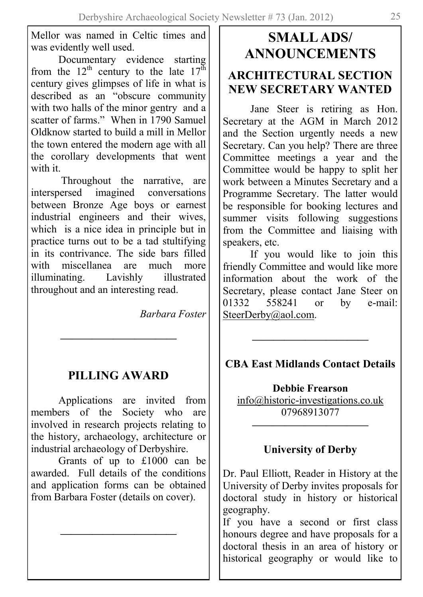Mellor was named in Celtic times and was evidently well used.

Documentary evidence starting from the  $12<sup>th</sup>$  century to the late  $17<sup>th</sup>$ century gives glimpses of life in what is described as an "obscure community" with two halls of the minor gentry and a scatter of farms." When in 1790 Samuel Oldknow started to build a mill in Mellor the town entered the modern age with all the corollary developments that went with it.

Throughout the narrative, are interspersed imagined conversations between Bronze Age boys or earnest industrial engineers and their wives, which is a nice idea in principle but in practice turns out to be a tad stultifying in its contrivance. The side bars filled with miscellanea are much more illuminating. Lavishly illustrated throughout and an interesting read.

*Barbara Foster*

# **PILLING AWARD**

**———————————**

Applications are invited from members of the Society who are involved in research projects relating to the history, archaeology, architecture or industrial archaeology of Derbyshire.

Grants of up to £1000 can be awarded. Full details of the conditions and application forms can be obtained from Barbara Foster (details on cover).

**———————————**

# **SMALL ADS/ ANNOUNCEMENTS**

# **ARCHITECTURAL SECTION NEW SECRETARY WANTED**

Jane Steer is retiring as Hon. Secretary at the AGM in March 2012 and the Section urgently needs a new Secretary. Can you help? There are three Committee meetings a year and the Committee would be happy to split her work between a Minutes Secretary and a Programme Secretary. The latter would be responsible for booking lectures and summer visits following suggestions from the Committee and liaising with speakers, etc.

If you would like to join this friendly Committee and would like more information about the work of the Secretary, please contact Jane Steer on<br>01332 558241 or by e-mail  $558241$  or by e-mail: [SteerDerby@aol.com.](mailto:SteerDerby@aol.com)

## **CBA East Midlands Contact Details**

**———————————**

**Debbie Frearson** [info@historic-investigations.co.uk](mailto:info@historic-investigations.co.uk) 07968913077

**———————————**

## **University of Derby**

Dr. Paul Elliott, Reader in History at the University of Derby invites proposals for doctoral study in history or historical geography.

If you have a second or first class honours degree and have proposals for a doctoral thesis in an area of history or historical geography or would like to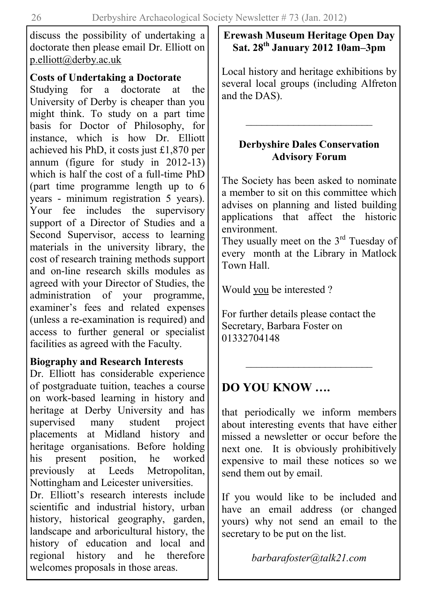26 Derbyshire Archaeological Society Newsletter # 73 (Jan. 2012)

discuss the possibility of undertaking a doctorate then please email Dr. Elliott on [p.elliott@derby.ac.uk](mailto:p.elliott@derby.ac.uk)

#### **Costs of Undertaking a Doctorate**

Studying for a doctorate at the University of Derby is cheaper than you might think. To study on a part time basis for Doctor of Philosophy, for instance, which is how Dr. Elliott achieved his PhD, it costs just £1,870 per annum (figure for study in 2012-13) which is half the cost of a full-time PhD (part time programme length up to 6 years - minimum registration 5 years). Your fee includes the supervisory support of a Director of Studies and a Second Supervisor, access to learning materials in the university library, the cost of research training methods support and on-line research skills modules as agreed with your Director of Studies, the administration of your programme, examiner's fees and related expenses (unless a re-examination is required) and access to further general or specialist facilities as agreed with the Faculty.

#### **Biography and Research Interests**

Dr. Elliott has considerable experience of postgraduate tuition, teaches a course on work-based learning in history and heritage at Derby University and has supervised many student project placements at Midland history and heritage organisations. Before holding<br>his present position, he worked his present position, he worked previously at Leeds Metropolitan, Nottingham and Leicester universities.

Dr. Elliott's research interests include scientific and industrial history, urban history, historical geography, garden, landscape and arboricultural history, the history of education and local and regional history and he therefore welcomes proposals in those areas.

#### **Erewash Museum Heritage Open Day Sat. 28th January 2012 10am–3pm**

Local history and heritage exhibitions by several local groups (including Alfreton and the DAS).

## **Derbyshire Dales Conservation Advisory Forum**

\_\_\_\_\_\_\_\_\_\_\_\_\_\_\_\_\_\_\_\_\_\_\_\_

The Society has been asked to nominate a member to sit on this committee which advises on planning and listed building applications that affect the historic environment.

They usually meet on the 3<sup>rd</sup> Tuesday of every month at the Library in Matlock Town Hall.

Would you be interested ?

For further details please contact the Secretary, Barbara Foster on 01332704148

 $\mathcal{L}=\mathcal{L}^{\mathcal{L}}$  , where  $\mathcal{L}^{\mathcal{L}}$  , we have the set of the set of the set of the set of the set of the set of the set of the set of the set of the set of the set of the set of the set of the set of the set of

# **DO YOU KNOW ….**

that periodically we inform members about interesting events that have either missed a newsletter or occur before the next one. It is obviously prohibitively expensive to mail these notices so we send them out by email.

If you would like to be included and have an email address (or changed yours) why not send an email to the secretary to be put on the list.

## *barbarafoster@talk21.com*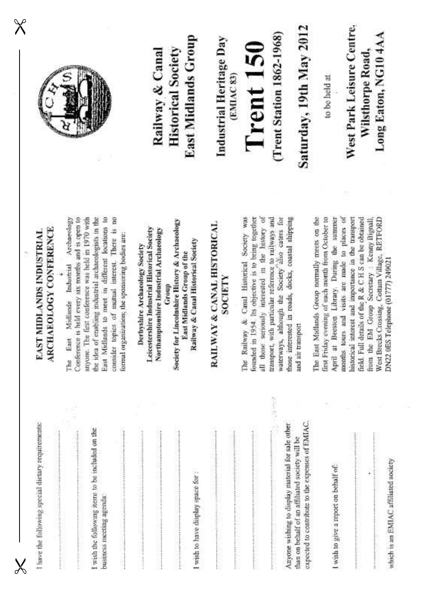$\chi$ 

| į  |
|----|
|    |
|    |
| I, |
|    |
|    |
| ş  |

ŵ

I wish the following items to be included on the business meeting agenda:

I wish to have display space for :

expected to contribute to the expenses of EMIAC. Anyone wishing to display material for sale other than on behalf of an affiliated society will be

I wish to give a report on behalf of:

which is an EMIAC affiliated society

# ARCHAEOLOGY CONFERENCE **EAST MIDLANDS INDUSTRIAL**

The East Midlands Industrial Archaeology Conference is held every six months and is open to anyone. The first conference was held in 1970 with he idea of erabing industrial archaeologists in the East Midlands to meet in different locations to consider topics of matual interest. There is no formal organization; the sponsoring bodies are:

Society for Lincolnshire History & Archaeology Leicestershire Industrial Historical Society Northamptonshire Industrial Archaeology Derbyshire Archaeology Society East Midlands Group of the Group

# RAILWAY & CANAL HISTORICAL SOCIETY

Railway & Canal Historical Society

The Railway & Canal Historical Society was founded in 1954. Its objective is to bring together all those seriously interested in the listory of transport, with particular reference to railways and waterways, although the Society also caters for those interested in roads, docks, coastal shipping and air transport

The East Midlands Group normally meets on the irst Friday evening of each month from October to April at Beeston Library. During the summer months tours and visits are made to places of historical interest and importance in the transport field Full details of the R & C H S can be obtained from the EM Group Secretary : Kenny Bignall, West Breeks Crossing, Cottam Village, RETFORD DN22 0ES Telephone (01777) 249021



**East Midlands Group Historical Society** Railway & Canal

**Trent Station 1862-1968**) Industrial Heritage Day Trent 150  $(EMIAC 83)$ 

o be held at

Long Eaton, NG104AA Wilsthorpe Road,

 $\chi$